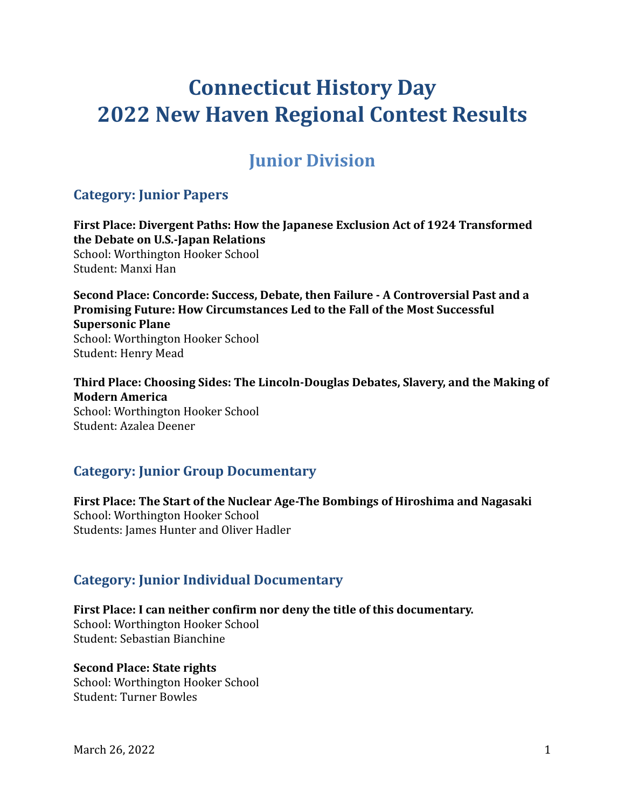# **Connecticut History Day 2022 New Haven Regional Contest Results**

## **Junior Division**

## **Category: Junior Papers**

**First Place: Divergent Paths: How the Japanese Exclusion Act of 1924 Transformed the Debate on U.S.-Japan Relations** School: Worthington Hooker School Student: Manxi Han

**Second Place: Concorde: Success, Debate, then Failure - A Controversial Past and a Promising Future: How Circumstances Led to the Fall of the Most Successful Supersonic Plane** School: Worthington Hooker School Student: Henry Mead

**Third Place: Choosing Sides: The Lincoln-Douglas Debates, Slavery, and the Making of Modern America** School: Worthington Hooker School Student: Azalea Deener

## **Category: Junior Group Documentary**

**First Place: The Start of the Nuclear Age-The Bombings of Hiroshima and Nagasaki** School: Worthington Hooker School Students: James Hunter and Oliver Hadler

## **Category: Junior Individual Documentary**

**First Place: I can neither confirm nor deny the title of this documentary.**

School: Worthington Hooker School Student: Sebastian Bianchine

#### **Second Place: State rights**

School: Worthington Hooker School Student: Turner Bowles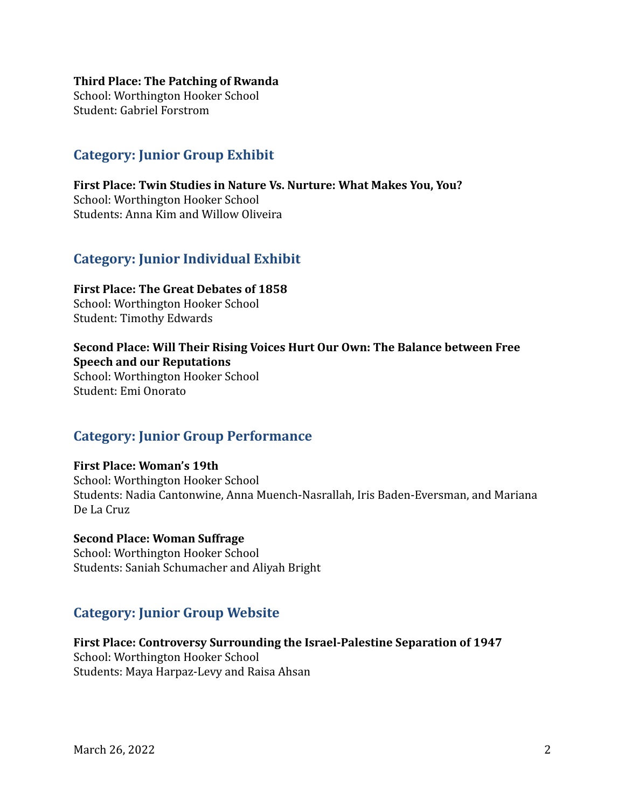#### **Third Place: The Patching of Rwanda**

School: Worthington Hooker School Student: Gabriel Forstrom

## **Category: Junior Group Exhibit**

**First Place: Twin Studies in Nature Vs. Nurture: What Makes You, You?** School: Worthington Hooker School Students: Anna Kim and Willow Oliveira

### **Category: Junior Individual Exhibit**

**First Place: The Great Debates of 1858** School: Worthington Hooker School Student: Timothy Edwards

**Second Place: Will Their Rising Voices Hurt Our Own: The Balance between Free Speech and our Reputations**

School: Worthington Hooker School Student: Emi Onorato

### **Category: Junior Group Performance**

#### **First Place: Woman's 19th**

School: Worthington Hooker School Students: Nadia Cantonwine, Anna Muench-Nasrallah, Iris Baden-Eversman, and Mariana De La Cruz

#### **Second Place: Woman Suffrage**

School: Worthington Hooker School Students: Saniah Schumacher and Aliyah Bright

## **Category: Junior Group Website**

**First Place: Controversy Surrounding the Israel-Palestine Separation of 1947** School: Worthington Hooker School Students: Maya Harpaz-Levy and Raisa Ahsan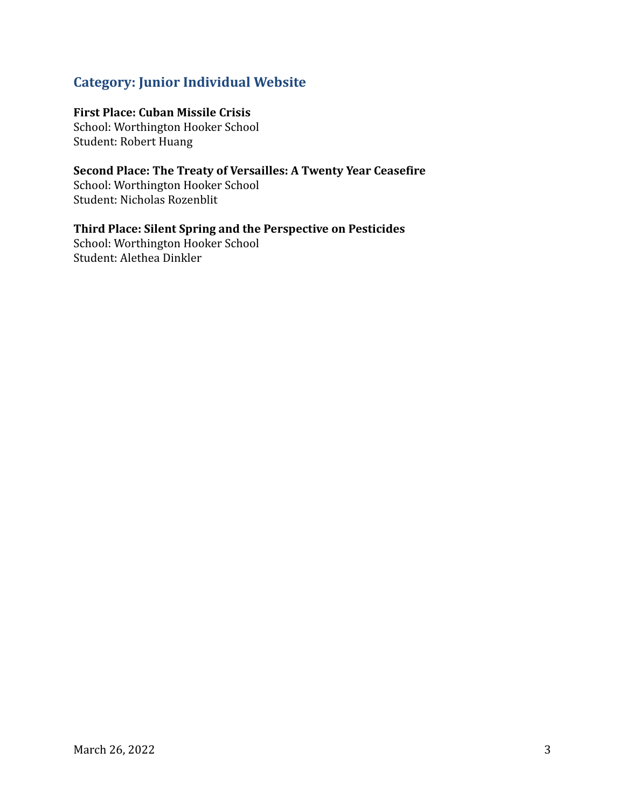## **Category: Junior Individual Website**

#### **First Place: Cuban Missile Crisis**

School: Worthington Hooker School Student: Robert Huang

**Second Place: The Treaty of Versailles: A Twenty Year Ceasefire** School: Worthington Hooker School Student: Nicholas Rozenblit

**Third Place: Silent Spring and the Perspective on Pesticides** School: Worthington Hooker School Student: Alethea Dinkler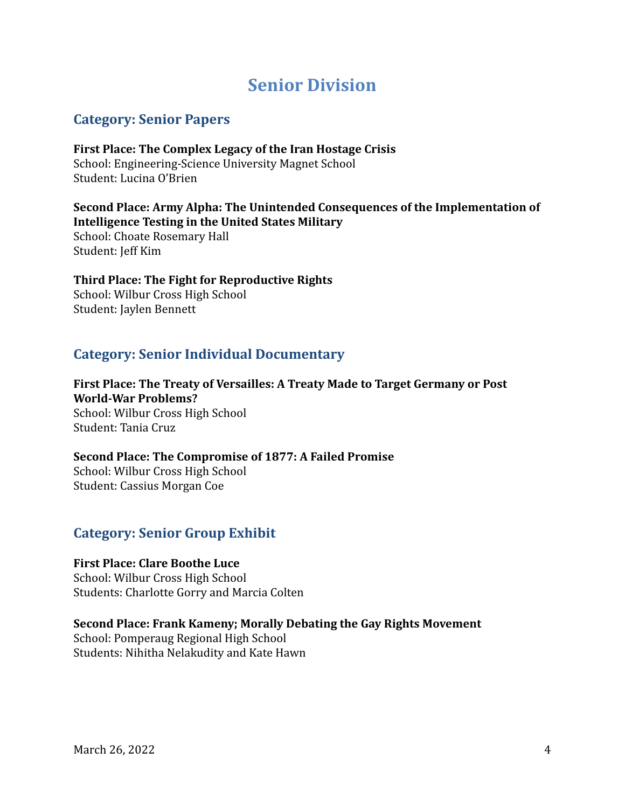## **Senior Division**

## **Category: Senior Papers**

**First Place: The Complex Legacy of the Iran Hostage Crisis** School: Engineering-Science University Magnet School Student: Lucina O'Brien

**Second Place: Army Alpha: The Unintended Consequences of the Implementation of Intelligence Testing in the United States Military**

School: Choate Rosemary Hall Student: Jeff Kim

#### **Third Place: The Fight for Reproductive Rights** School: Wilbur Cross High School

Student: Jaylen Bennett

## **Category: Senior Individual Documentary**

**First Place: The Treaty of Versailles: A Treaty Made to Target Germany or Post World-War Problems?** School: Wilbur Cross High School Student: Tania Cruz

#### **Second Place: The Compromise of 1877: A Failed Promise** School: Wilbur Cross High School Student: Cassius Morgan Coe

## **Category: Senior Group Exhibit**

#### **First Place: Clare Boothe Luce**

School: Wilbur Cross High School Students: Charlotte Gorry and Marcia Colten

#### **Second Place: Frank Kameny; Morally Debating the Gay Rights Movement**

School: Pomperaug Regional High School Students: Nihitha Nelakudity and Kate Hawn